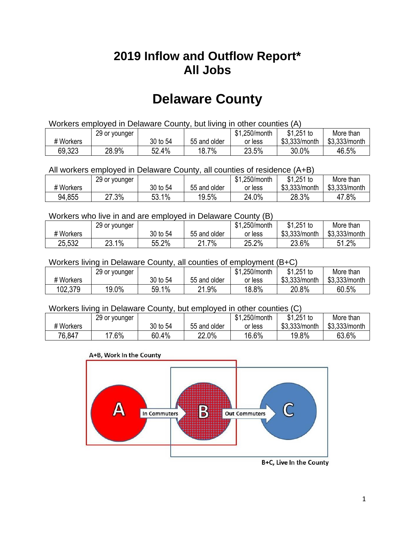## **2019 Inflow and Outflow Report\* All Jobs**

# **Delaware County**

| Workers employed in Delaware County, but living in other counties (A) |                                                           |          |              |         |               |               |  |  |  |
|-----------------------------------------------------------------------|-----------------------------------------------------------|----------|--------------|---------|---------------|---------------|--|--|--|
|                                                                       | \$1.251 to<br>More than<br>\$1,250/month<br>29 or younger |          |              |         |               |               |  |  |  |
| # Workers                                                             |                                                           | 30 to 54 | 55 and older | or less | \$3.333/month | \$3,333/month |  |  |  |
| 69,323                                                                | 28.9%                                                     | 52.4%    | 18.7%        | 23.5%   | 30.0%         | 46.5%         |  |  |  |

#### All workers employed in Delaware County, all counties of residence (A+B)

|           | 29 or younger |          |              | \$1,250/month | $$1,251$ to   | More than     |
|-----------|---------------|----------|--------------|---------------|---------------|---------------|
| # Workers |               | 30 to 54 | 55 and older | or less       | \$3,333/month | \$3,333/month |
| 94,855    | 27.3%         | 53.1%    | 19.5%        | 24.0%         | 28.3%         | 47.8%         |

#### Workers who live in and are employed in Delaware County (B)

|           | 29 or younger |          |                  | ሱ 4<br>.250/month<br>וכט | $$1,251$ to   | More than      |
|-----------|---------------|----------|------------------|--------------------------|---------------|----------------|
| # Workers |               | 30 to 54 | 55 and older     | or less                  | \$3,333/month | \$3,333/month  |
| 25,532    | 23.1%         | 55.2%    | 1.7%<br>ດ 4<br>- | 25.2%                    | 23.6%         | $1.2\%$<br>51. |

#### Workers living in Delaware County, all counties of employment (B+C)

|           | 29 or younger |          |                    | \$1,250/month | $$1,251$ to   | More than     |
|-----------|---------------|----------|--------------------|---------------|---------------|---------------|
| # Workers |               | 30 to 54 | 55 and older       | or less       | \$3,333/month | \$3,333/month |
| 102,379   | 19.0%         | 59.1%    | 21.9%<br><b>04</b> | 18.8%         | 20.8%         | 60.5%         |

#### Workers living in Delaware County, but employed in other counties (C)

|           | 29 or younger |          |              | \$1,250/month | $$1,251$ to   | More than     |
|-----------|---------------|----------|--------------|---------------|---------------|---------------|
| # Workers |               | 30 to 54 | 55 and older | or less       | \$3,333/month | \$3,333/month |
| 76,847    | $7.6\%$       | 60.4%    | 22.0%        | 16.6%         | 19.8%         | 63.6%         |

#### A+B, Work In the County



B+C, Live In the County